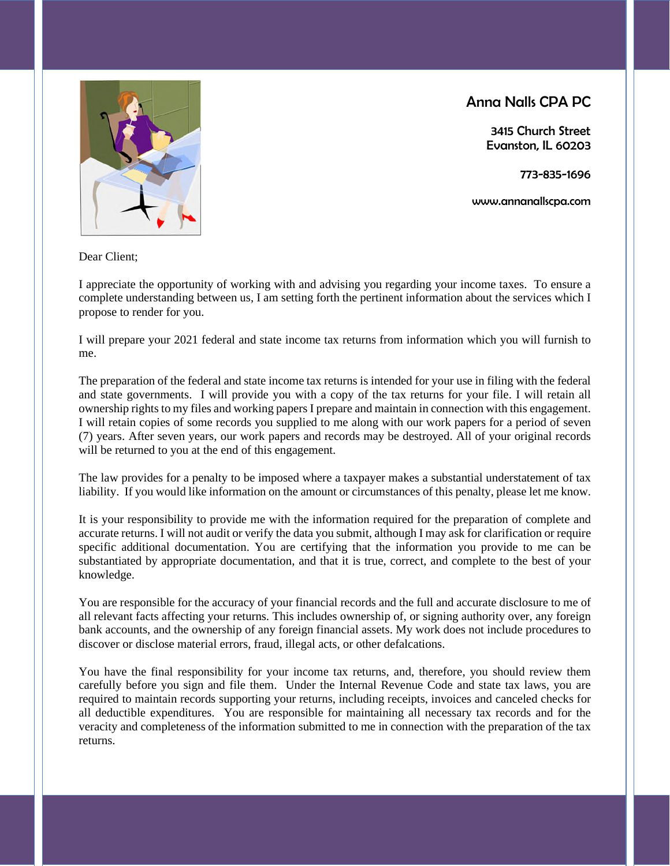Anna Nalls CPA PC

3415 Church Street Evanston, IL 60203

773-835-1696

www.annanallscpa.com



Dear Client;

I appreciate the opportunity of working with and advising you regarding your income taxes. To ensure a complete understanding between us, I am setting forth the pertinent information about the services which I propose to render for you.

I will prepare your 2021 federal and state income tax returns from information which you will furnish to me.

The preparation of the federal and state income tax returns is intended for your use in filing with the federal and state governments. I will provide you with a copy of the tax returns for your file. I will retain all ownership rights to my files and working papers I prepare and maintain in connection with this engagement. I will retain copies of some records you supplied to me along with our work papers for a period of seven (7) years. After seven years, our work papers and records may be destroyed. All of your original records will be returned to you at the end of this engagement.

The law provides for a penalty to be imposed where a taxpayer makes a substantial understatement of tax liability. If you would like information on the amount or circumstances of this penalty, please let me know.

It is your responsibility to provide me with the information required for the preparation of complete and accurate returns. I will not audit or verify the data you submit, although I may ask for clarification or require specific additional documentation. You are certifying that the information you provide to me can be substantiated by appropriate documentation, and that it is true, correct, and complete to the best of your knowledge.

You are responsible for the accuracy of your financial records and the full and accurate disclosure to me of all relevant facts affecting your returns. This includes ownership of, or signing authority over, any foreign bank accounts, and the ownership of any foreign financial assets. My work does not include procedures to discover or disclose material errors, fraud, illegal acts, or other defalcations.

You have the final responsibility for your income tax returns, and, therefore, you should review them carefully before you sign and file them. Under the Internal Revenue Code and state tax laws, you are required to maintain records supporting your returns, including receipts, invoices and canceled checks for all deductible expenditures. You are responsible for maintaining all necessary tax records and for the veracity and completeness of the information submitted to me in connection with the preparation of the tax returns.